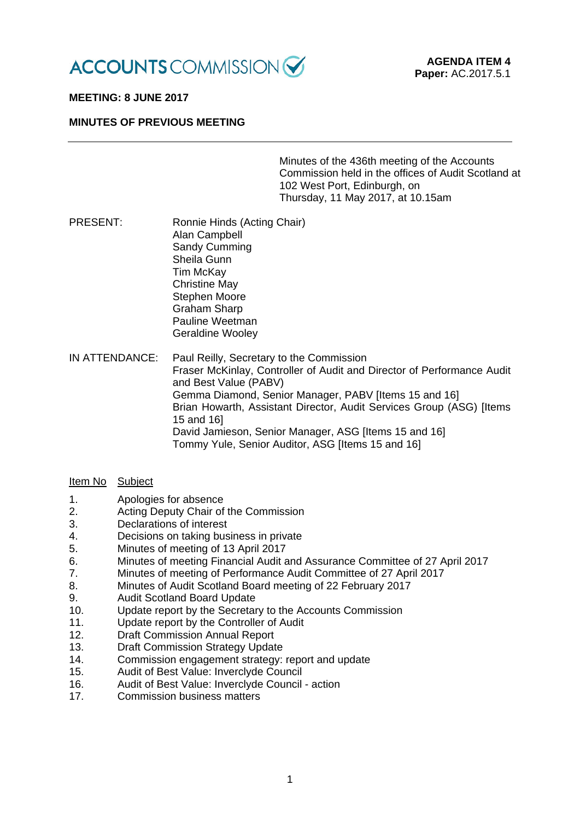

# **MEETING: 8 JUNE 2017**

### **MINUTES OF PREVIOUS MEETING**

Minutes of the 436th meeting of the Accounts Commission held in the offices of Audit Scotland at 102 West Port, Edinburgh, on Thursday, 11 May 2017, at 10.15am

PRESENT: Ronnie Hinds (Acting Chair) Alan Campbell Sandy Cumming Sheila Gunn Tim McKay Christine May Stephen Moore Graham Sharp Pauline Weetman Geraldine Wooley

IN ATTENDANCE: Paul Reilly, Secretary to the Commission Fraser McKinlay, Controller of Audit and Director of Performance Audit and Best Value (PABV) Gemma Diamond, Senior Manager, PABV [Items 15 and 16] Brian Howarth, Assistant Director, Audit Services Group (ASG) [Items 15 and 16] David Jamieson, Senior Manager, ASG [Items 15 and 16] Tommy Yule, Senior Auditor, ASG [Items 15 and 16]

### Item No Subject

- 1. Apologies for absence
- 2. Acting Deputy Chair of the Commission
- 3. Declarations of interest
- 4. Decisions on taking business in private
- 5. Minutes of meeting of 13 April 2017
- 6. Minutes of meeting Financial Audit and Assurance Committee of 27 April 2017<br>7. Minutes of meeting of Performance Audit Committee of 27 April 2017
- 7. Minutes of meeting of Performance Audit Committee of 27 April 2017
- 8. Minutes of Audit Scotland Board meeting of 22 February 2017
- 9. Audit Scotland Board Update
- 10. Update report by the Secretary to the Accounts Commission
- 11. Update report by the Controller of Audit
- 12. Draft Commission Annual Report
- 13. Draft Commission Strategy Update
- 14. Commission engagement strategy: report and update
- 15. Audit of Best Value: Inverclyde Council
- 16. Audit of Best Value: Inverclyde Council action
- 17. Commission business matters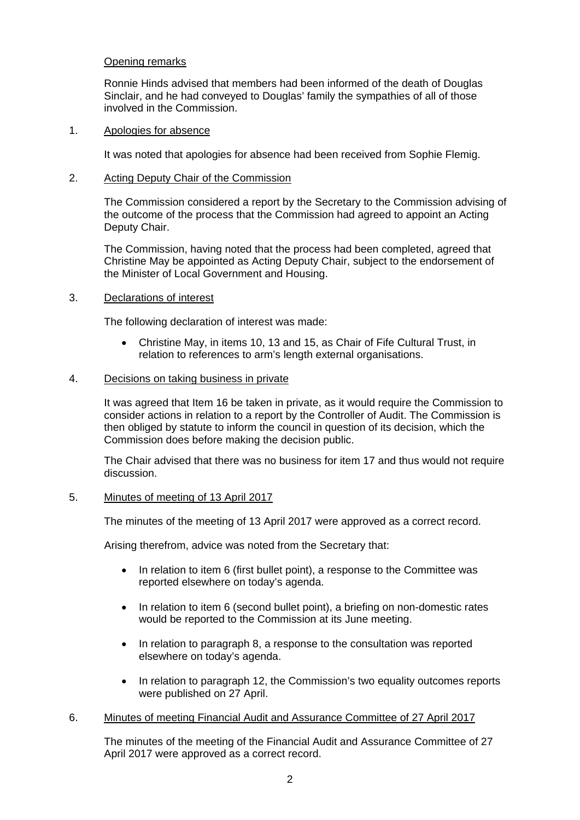# Opening remarks

Ronnie Hinds advised that members had been informed of the death of Douglas Sinclair, and he had conveyed to Douglas' family the sympathies of all of those involved in the Commission.

### 1. Apologies for absence

It was noted that apologies for absence had been received from Sophie Flemig.

# 2. Acting Deputy Chair of the Commission

The Commission considered a report by the Secretary to the Commission advising of the outcome of the process that the Commission had agreed to appoint an Acting Deputy Chair.

The Commission, having noted that the process had been completed, agreed that Christine May be appointed as Acting Deputy Chair, subject to the endorsement of the Minister of Local Government and Housing.

# 3. Declarations of interest

The following declaration of interest was made:

• Christine May, in items 10, 13 and 15, as Chair of Fife Cultural Trust, in relation to references to arm's length external organisations.

# 4. Decisions on taking business in private

It was agreed that Item 16 be taken in private, as it would require the Commission to consider actions in relation to a report by the Controller of Audit. The Commission is then obliged by statute to inform the council in question of its decision, which the Commission does before making the decision public.

The Chair advised that there was no business for item 17 and thus would not require discussion.

### 5. Minutes of meeting of 13 April 2017

The minutes of the meeting of 13 April 2017 were approved as a correct record.

Arising therefrom, advice was noted from the Secretary that:

- In relation to item 6 (first bullet point), a response to the Committee was reported elsewhere on today's agenda.
- In relation to item 6 (second bullet point), a briefing on non-domestic rates would be reported to the Commission at its June meeting.
- In relation to paragraph 8, a response to the consultation was reported elsewhere on today's agenda.
- In relation to paragraph 12, the Commission's two equality outcomes reports were published on 27 April.

### 6. Minutes of meeting Financial Audit and Assurance Committee of 27 April 2017

The minutes of the meeting of the Financial Audit and Assurance Committee of 27 April 2017 were approved as a correct record.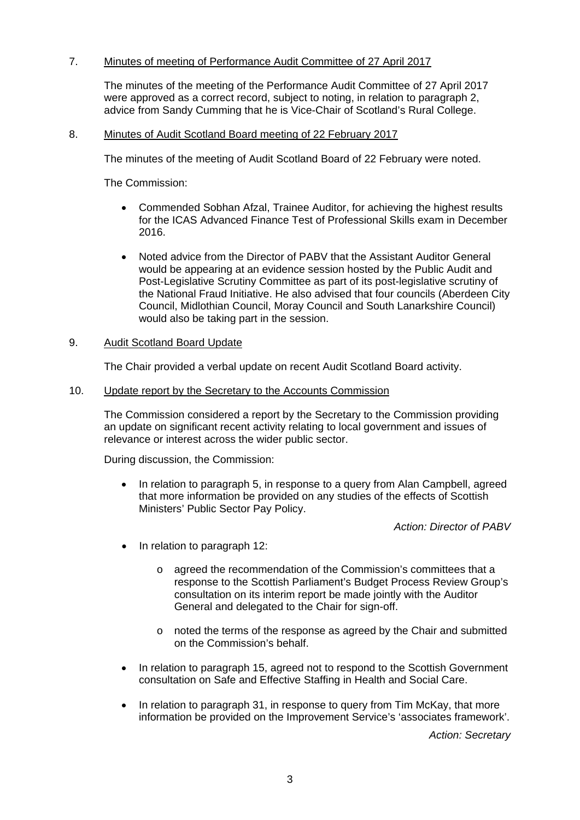# 7. Minutes of meeting of Performance Audit Committee of 27 April 2017

The minutes of the meeting of the Performance Audit Committee of 27 April 2017 were approved as a correct record, subject to noting, in relation to paragraph 2, advice from Sandy Cumming that he is Vice-Chair of Scotland's Rural College.

# 8. Minutes of Audit Scotland Board meeting of 22 February 2017

The minutes of the meeting of Audit Scotland Board of 22 February were noted.

The Commission:

- Commended Sobhan Afzal, Trainee Auditor, for achieving the highest results for the ICAS Advanced Finance Test of Professional Skills exam in December 2016.
- Noted advice from the Director of PABV that the Assistant Auditor General would be appearing at an evidence session hosted by the Public Audit and Post-Legislative Scrutiny Committee as part of its post-legislative scrutiny of the National Fraud Initiative. He also advised that four councils (Aberdeen City Council, Midlothian Council, Moray Council and South Lanarkshire Council) would also be taking part in the session.

# 9. Audit Scotland Board Update

The Chair provided a verbal update on recent Audit Scotland Board activity.

10. Update report by the Secretary to the Accounts Commission

The Commission considered a report by the Secretary to the Commission providing an update on significant recent activity relating to local government and issues of relevance or interest across the wider public sector.

During discussion, the Commission:

• In relation to paragraph 5, in response to a query from Alan Campbell, agreed that more information be provided on any studies of the effects of Scottish Ministers' Public Sector Pay Policy.

*Action: Director of PABV*

- In relation to paragraph 12:
	- o agreed the recommendation of the Commission's committees that a response to the Scottish Parliament's Budget Process Review Group's consultation on its [interim report](http://www.parliament.scot/parliamentarybusiness/CurrentCommittees/100930.aspx) be made jointly with the Auditor General and delegated to the Chair for sign-off.
	- o noted the terms of the response as agreed by the Chair and submitted on the Commission's behalf.
- In relation to paragraph 15, agreed not to respond to the Scottish Government consultation on Safe and Effective Staffing in Health and Social Care.
- In relation to paragraph 31, in response to query from Tim McKay, that more information be provided on the Improvement Service's 'associates framework'.

*Action: Secretary*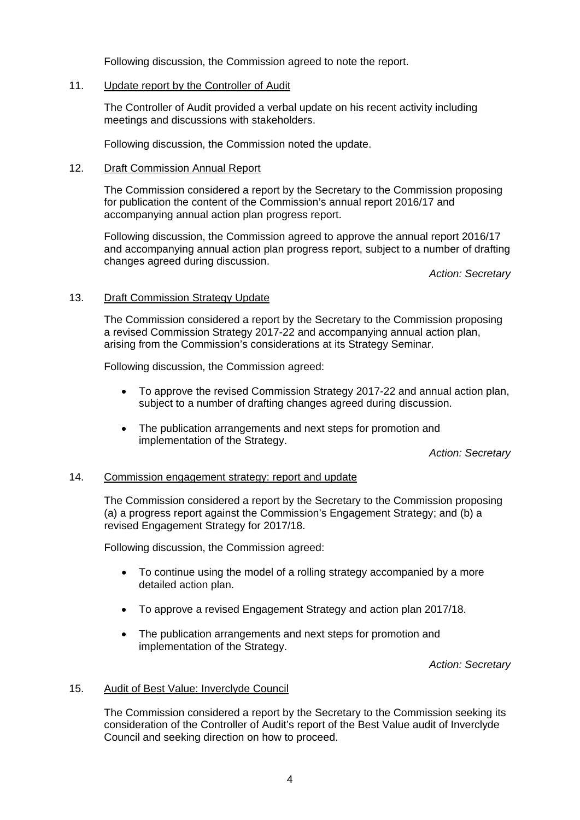Following discussion, the Commission agreed to note the report.

### 11. Update report by the Controller of Audit

The Controller of Audit provided a verbal update on his recent activity including meetings and discussions with stakeholders.

Following discussion, the Commission noted the update.

# 12. Draft Commission Annual Report

The Commission considered a report by the Secretary to the Commission proposing for publication the content of the Commission's annual report 2016/17 and accompanying annual action plan progress report.

Following discussion, the Commission agreed to approve the annual report 2016/17 and accompanying annual action plan progress report, subject to a number of drafting changes agreed during discussion.

*Action: Secretary*

# 13. Draft Commission Strategy Update

The Commission considered a report by the Secretary to the Commission proposing a revised Commission Strategy 2017-22 and accompanying annual action plan, arising from the Commission's considerations at its Strategy Seminar.

Following discussion, the Commission agreed:

- To approve the revised Commission Strategy 2017-22 and annual action plan, subject to a number of drafting changes agreed during discussion.
- The publication arrangements and next steps for promotion and implementation of the Strategy.

*Action: Secretary*

### 14. Commission engagement strategy: report and update

The Commission considered a report by the Secretary to the Commission proposing (a) a progress report against the Commission's Engagement Strategy; and (b) a revised Engagement Strategy for 2017/18.

Following discussion, the Commission agreed:

- To continue using the model of a rolling strategy accompanied by a more detailed action plan.
- To approve a revised Engagement Strategy and action plan 2017/18.
- The publication arrangements and next steps for promotion and implementation of the Strategy.

*Action: Secretary*

### 15. Audit of Best Value: Inverclyde Council

The Commission considered a report by the Secretary to the Commission seeking its consideration of the Controller of Audit's report of the Best Value audit of Inverclyde Council and seeking direction on how to proceed.